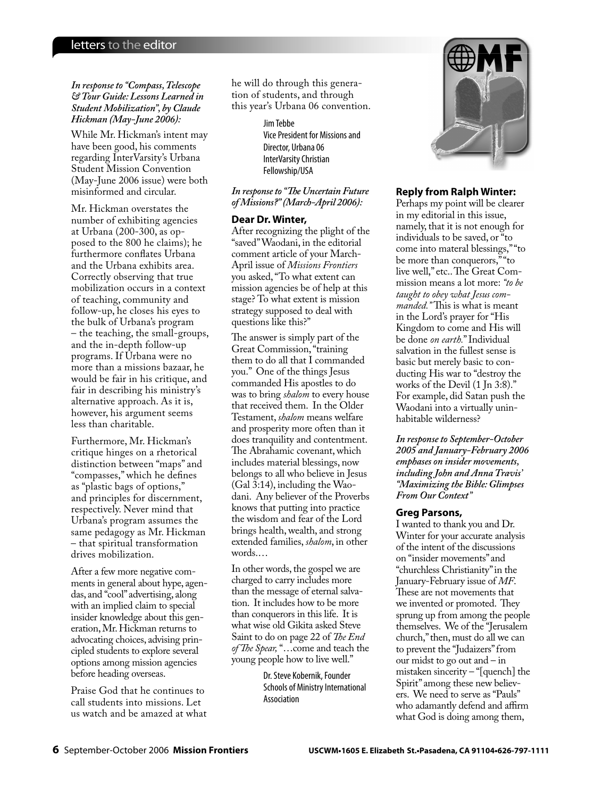### *In response to "Compass, Telescope & Tour Guide: Lessons Learned in Student Mobilization", by Claude Hickman (May-June 2006):*

While Mr. Hickman's intent may have been good, his comments regarding InterVarsity's Urbana Student Mission Convention (May-June 2006 issue) were both misinformed and circular.

Mr. Hickman overstates the number of exhibiting agencies at Urbana (200-300, as opposed to the 800 he claims); he furthermore conflates Urbana and the Urbana exhibits area. Correctly observing that true mobilization occurs in a context of teaching, community and follow-up, he closes his eyes to the bulk of Urbana's program – the teaching, the small-groups, and the in-depth follow-up programs. If Urbana were no more than a missions bazaar, he would be fair in his critique, and fair in describing his ministry's alternative approach. As it is, however, his argument seems less than charitable.

Furthermore, Mr. Hickman's critique hinges on a rhetorical distinction between "maps" and "compasses," which he defines as "plastic bags of options," and principles for discernment, respectively. Never mind that Urbana's program assumes the same pedagogy as Mr. Hickman – that spiritual transformation drives mobilization.

After a few more negative comments in general about hype, agendas, and "cool" advertising, along with an implied claim to special insider knowledge about this generation, Mr. Hickman returns to advocating choices, advising principled students to explore several options among mission agencies before heading overseas.

Praise God that he continues to call students into missions. Let us watch and be amazed at what he will do through this generation of students, and through this year's Urbana 06 convention.

> Jim Tebbe Vice President for Missions and Director, Urbana 06 InterVarsity Christian Fellowship/USA

*In response to "The Uncertain Future of Missions?" (March-April 2006):*

## **Dear Dr. Winter,**

After recognizing the plight of the "saved" Waodani, in the editorial comment article of your March-April issue of *Missions Frontiers* you asked, "To what extent can mission agencies be of help at this stage? To what extent is mission strategy supposed to deal with questions like this?"

The answer is simply part of the Great Commission, "training them to do all that I commanded you." One of the things Jesus commanded His apostles to do was to bring *shalom* to every house that received them. In the Older Testament, *shalom* means welfare and prosperity more often than it does tranquility and contentment. The Abrahamic covenant, which includes material blessings, now belongs to all who believe in Jesus (Gal 3:14), including the Waodani. Any believer of the Proverbs knows that putting into practice the wisdom and fear of the Lord brings health, wealth, and strong extended families, *shalom*, in other words.…

In other words, the gospel we are charged to carry includes more than the message of eternal salvation. It includes how to be more than conquerors in this life. It is what wise old Gikita asked Steve Saint to do on page 22 of *The End* of The Spear, "...come and teach the young people how to live well."

> Dr. Steve Kobernik, Founder Schools of Ministry International Association



# **Reply from Ralph Winter:**

Perhaps my point will be clearer in my editorial in this issue, namely, that it is not enough for individuals to be saved, or "to come into materal blessings," "to be more than conquerors," "to live well," etc.. The Great Commission means a lot more: *"to be taught to obey what Jesus commanded.*" This is what is meant in the Lord's prayer for "His Kingdom to come and His will be done *on earth.*" Individual salvation in the fullest sense is basic but merely basic to conducting His war to "destroy the works of the Devil (1 Jn 3:8)." For example, did Satan push the Waodani into a virtually uninhabitable wilderness?

*In response to September-October 2005 and January-February 2006 emphases on insider movements, including John and Anna Travis' "Maximizing the Bible: Glimpses From Our Context"*

## **Greg Parsons,**

I wanted to thank you and Dr. Winter for your accurate analysis of the intent of the discussions on "insider movements" and "churchless Christianity" in the January-February issue of *MF*. These are not movements that we invented or promoted. They sprung up from among the people themselves. We of the "Jerusalem church," then, must do all we can to prevent the "Judaizers" from our midst to go out and – in mistaken sincerity – "[quench] the Spirit" among these new believers. We need to serve as "Pauls" who adamantly defend and affirm what God is doing among them,